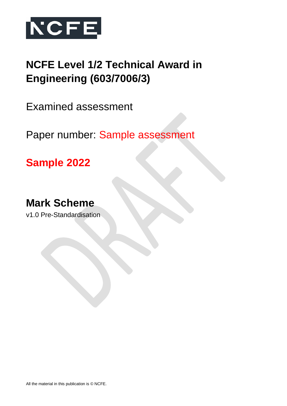

# **NCFE Level 1/2 Technical Award in Engineering (603/7006/3)**

Examined assessment

Paper number: Sample assessment

**Sample 2022**

# **Mark Scheme**

v1.0 Pre-Standardisation

All the material in this publication is © NCFE.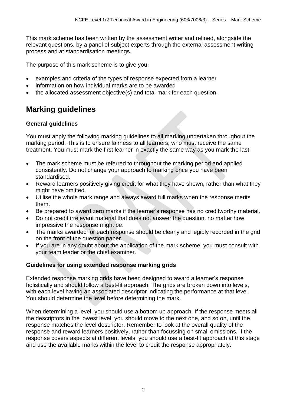This mark scheme has been written by the assessment writer and refined, alongside the relevant questions, by a panel of subject experts through the external assessment writing process and at standardisation meetings.

The purpose of this mark scheme is to give you:

- examples and criteria of the types of response expected from a learner
- information on how individual marks are to be awarded
- the allocated assessment objective(s) and total mark for each question.

# **Marking guidelines**

### **General guidelines**

You must apply the following marking guidelines to all marking undertaken throughout the marking period. This is to ensure fairness to all learners, who must receive the same treatment. You must mark the first learner in exactly the same way as you mark the last.

- The mark scheme must be referred to throughout the marking period and applied consistently. Do not change your approach to marking once you have been standardised.
- Reward learners positively giving credit for what they have shown, rather than what they might have omitted.
- Utilise the whole mark range and always award full marks when the response merits them.
- Be prepared to award zero marks if the learner's response has no creditworthy material.
- Do not credit irrelevant material that does not answer the question, no matter how impressive the response might be.
- The marks awarded for each response should be clearly and legibly recorded in the grid on the front of the question paper.
- If you are in any doubt about the application of the mark scheme, you must consult with your team leader or the chief examiner.

### **Guidelines for using extended response marking grids**

Extended response marking grids have been designed to award a learner's response holistically and should follow a best-fit approach. The grids are broken down into levels, with each level having an associated descriptor indicating the performance at that level. You should determine the level before determining the mark.

When determining a level, you should use a bottom up approach. If the response meets all the descriptors in the lowest level, you should move to the next one, and so on, until the response matches the level descriptor. Remember to look at the overall quality of the response and reward learners positively, rather than focussing on small omissions. If the response covers aspects at different levels, you should use a best-fit approach at this stage and use the available marks within the level to credit the response appropriately.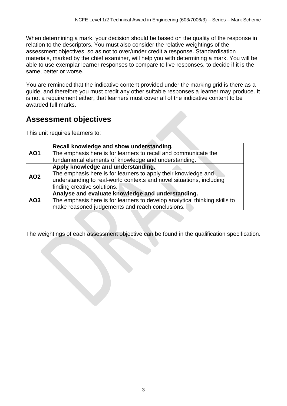When determining a mark, your decision should be based on the quality of the response in relation to the descriptors. You must also consider the relative weightings of the assessment objectives, so as not to over/under credit a response. Standardisation materials, marked by the chief examiner, will help you with determining a mark. You will be able to use exemplar learner responses to compare to live responses, to decide if it is the same, better or worse.

You are reminded that the indicative content provided under the marking grid is there as a guide, and therefore you must credit any other suitable responses a learner may produce. It is not a requirement either, that learners must cover all of the indicative content to be awarded full marks.

## **Assessment objectives**

This unit requires learners to:

|                 | Recall knowledge and show understanding.                                   |
|-----------------|----------------------------------------------------------------------------|
| <b>AO1</b>      | The emphasis here is for learners to recall and communicate the            |
|                 | fundamental elements of knowledge and understanding.                       |
|                 | Apply knowledge and understanding.                                         |
|                 | The emphasis here is for learners to apply their knowledge and             |
| AO <sub>2</sub> | understanding to real-world contexts and novel situations, including       |
|                 | finding creative solutions.                                                |
|                 | Analyse and evaluate knowledge and understanding.                          |
| AO <sub>3</sub> | The emphasis here is for learners to develop analytical thinking skills to |
|                 | make reasoned judgements and reach conclusions.                            |

The weightings of each assessment objective can be found in the qualification specification.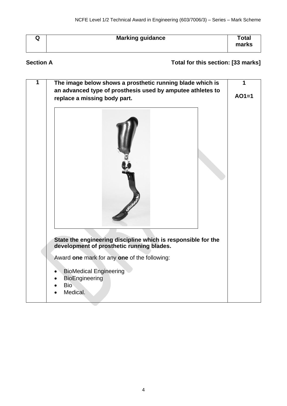| w | <b>Marking guidance</b> | Total<br>marks |
|---|-------------------------|----------------|
|---|-------------------------|----------------|

## **Section A Total for this section: [33 marks]**

| 1 | The image below shows a prosthetic running blade which is<br>an advanced type of prosthesis used by amputee athletes to<br>replace a missing body part. | 1<br>$AO1=1$ |
|---|---------------------------------------------------------------------------------------------------------------------------------------------------------|--------------|
|   |                                                                                                                                                         |              |
|   |                                                                                                                                                         |              |
|   | State the engineering discipline which is responsible for the<br>development of prosthetic running blades.                                              |              |
|   | Award one mark for any one of the following:<br><b>BioMedical Engineering</b><br>BioEngineering<br><b>Bio</b><br>Medical.                               |              |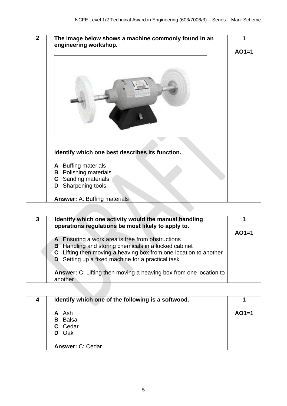| $\overline{2}$ | The image below shows a machine commonly found in an<br>engineering workshop.                                                                                                                    | $AO1=1$ |
|----------------|--------------------------------------------------------------------------------------------------------------------------------------------------------------------------------------------------|---------|
|                |                                                                                                                                                                                                  |         |
|                | Identify which one best describes its function.<br>A Buffing materials<br><b>B</b> Polishing materials<br>Sanding materials<br>C<br>Sharpening tools<br>D<br><b>Answer: A: Buffing materials</b> |         |
|                |                                                                                                                                                                                                  |         |
|                |                                                                                                                                                                                                  |         |

| 3 | Identify which one activity would the manual handling<br>operations regulations be most likely to apply to.                                                                                                                                                                                                                     |         |
|---|---------------------------------------------------------------------------------------------------------------------------------------------------------------------------------------------------------------------------------------------------------------------------------------------------------------------------------|---------|
|   | A Ensuring a work area is free from obstructions<br><b>B</b> Handling and storing chemicals in a locked cabinet<br>C Lifting then moving a heaving box from one location to another<br><b>D</b> Setting up a fixed machine for a practical task<br>Answer: C: Lifting then moving a heaving box from one location to<br>another | $AO1=1$ |
|   |                                                                                                                                                                                                                                                                                                                                 |         |

| 4 | Identify which one of the following is a softwood. |         |
|---|----------------------------------------------------|---------|
|   | A Ash                                              | $AO1=1$ |
|   | <b>B</b> Balsa                                     |         |
|   | C Cedar                                            |         |
|   | D Oak                                              |         |
|   | <b>Answer: C: Cedar</b>                            |         |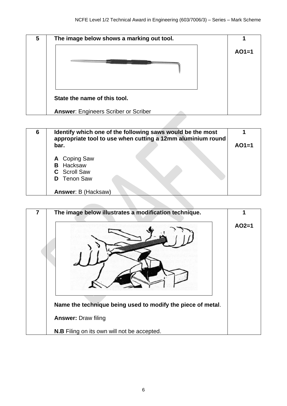

| 6 | Identify which one of the following saws would be the most<br>appropriate tool to use when cutting a 12mm aluminium round |         |
|---|---------------------------------------------------------------------------------------------------------------------------|---------|
|   | bar.                                                                                                                      | $AO1=1$ |
|   | A Coping Saw<br><b>B</b> Hacksaw<br><b>C</b> Scroll Saw<br><b>D</b> Tenon Saw                                             |         |
|   | <b>Answer: B (Hacksaw)</b>                                                                                                |         |

| The image below illustrates a modification technique.       |         |
|-------------------------------------------------------------|---------|
|                                                             | $AO2=1$ |
| Name the technique being used to modify the piece of metal. |         |
| <b>Answer: Draw filing</b>                                  |         |
| <b>N.B</b> Filing on its own will not be accepted.          |         |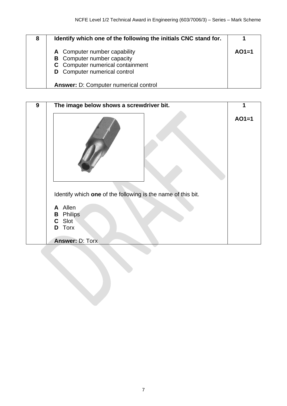| 8 | Identify which one of the following the initials CNC stand for.         |         |
|---|-------------------------------------------------------------------------|---------|
|   | A Computer number capability<br><b>B</b> Computer number capacity       | $AO1=1$ |
|   | C Computer numerical containment<br><b>D</b> Computer numerical control |         |
|   | Answer: D: Computer numerical control                                   |         |

| 9 | The image below shows a screwdriver bit.                                                                                                                   | 1       |
|---|------------------------------------------------------------------------------------------------------------------------------------------------------------|---------|
|   |                                                                                                                                                            | $AO1=1$ |
|   | Identify which one of the following is the name of this bit.<br>A Allen<br><b>Philips</b><br>B<br>Slot<br>C.<br><b>Torx</b><br>D<br><b>Answer: D: Torx</b> |         |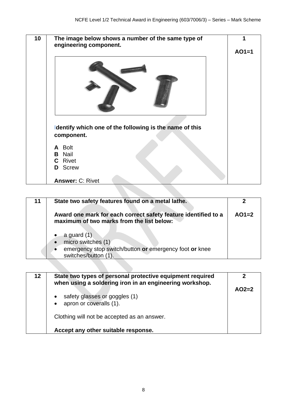

| 11 | State two safety features found on a metal lathe.                                                                                |         |
|----|----------------------------------------------------------------------------------------------------------------------------------|---------|
|    | Award one mark for each correct safety feature identified to a<br>maximum of two marks from the list below:                      | $AO1=2$ |
|    | a guard (1)<br>micro switches (1)<br>$\bullet$<br>emergency stop switch/button or emergency foot or knee<br>switches/button (1). |         |

| 12 <sup>°</sup> | State two types of personal protective equipment required<br>when using a soldering iron in an engineering workshop. |         |
|-----------------|----------------------------------------------------------------------------------------------------------------------|---------|
|                 | safety glasses or goggles (1)<br>$\bullet$<br>apron or coveralls (1).<br>$\bullet$                                   | $AO2=2$ |
|                 | Clothing will not be accepted as an answer.                                                                          |         |
|                 | Accept any other suitable response.                                                                                  |         |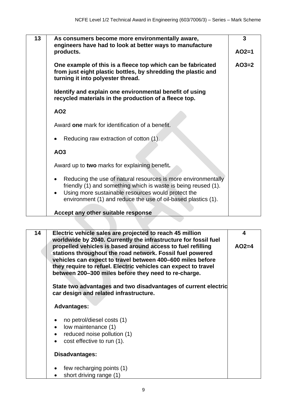| 13 | As consumers become more environmentally aware,<br>engineers have had to look at better ways to manufacture<br>products.                                                                                                                                            | 3<br>$AO2=1$ |
|----|---------------------------------------------------------------------------------------------------------------------------------------------------------------------------------------------------------------------------------------------------------------------|--------------|
|    | One example of this is a fleece top which can be fabricated<br>from just eight plastic bottles, by shredding the plastic and<br>turning it into polyester thread.                                                                                                   | $AO3=2$      |
|    | Identify and explain one environmental benefit of using<br>recycled materials in the production of a fleece top.                                                                                                                                                    |              |
|    | AO <sub>2</sub>                                                                                                                                                                                                                                                     |              |
|    | Award one mark for identification of a benefit.                                                                                                                                                                                                                     |              |
|    | Reducing raw extraction of cotton (1).                                                                                                                                                                                                                              |              |
|    | AO <sub>3</sub>                                                                                                                                                                                                                                                     |              |
|    | Award up to two marks for explaining benefit.                                                                                                                                                                                                                       |              |
|    | Reducing the use of natural resources is more environmentally<br>friendly (1) and something which is waste is being reused (1).<br>Using more sustainable resources would protect the<br>$\bullet$<br>environment (1) and reduce the use of oil-based plastics (1). |              |
|    | Accept any other suitable response                                                                                                                                                                                                                                  |              |
|    |                                                                                                                                                                                                                                                                     |              |

| 14 | Electric vehicle sales are projected to reach 45 million<br>worldwide by 2040. Currently the infrastructure for fossil fuel                                                                                                                                                                                      | 4       |
|----|------------------------------------------------------------------------------------------------------------------------------------------------------------------------------------------------------------------------------------------------------------------------------------------------------------------|---------|
|    | propelled vehicles is based around access to fuel refilling<br>stations throughout the road network. Fossil fuel powered<br>vehicles can expect to travel between 400–600 miles before<br>they require to refuel. Electric vehicles can expect to travel<br>between 200-300 miles before they need to re-charge. | $AO2=4$ |
|    | State two advantages and two disadvantages of current electric<br>car design and related infrastructure.                                                                                                                                                                                                         |         |
|    | <b>Advantages:</b>                                                                                                                                                                                                                                                                                               |         |
|    | no petrol/diesel costs (1)                                                                                                                                                                                                                                                                                       |         |
|    | low maintenance (1)<br>$\bullet$                                                                                                                                                                                                                                                                                 |         |
|    | reduced noise pollution (1)<br>$\bullet$                                                                                                                                                                                                                                                                         |         |
|    | cost effective to run (1).                                                                                                                                                                                                                                                                                       |         |
|    | Disadvantages:                                                                                                                                                                                                                                                                                                   |         |
|    | few recharging points (1)                                                                                                                                                                                                                                                                                        |         |
|    | short driving range (1)                                                                                                                                                                                                                                                                                          |         |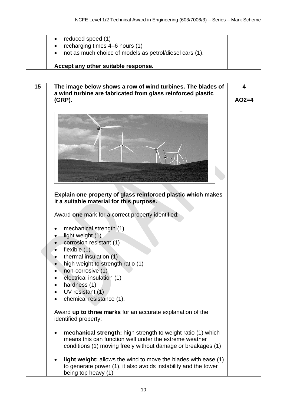| reduced speed (1)<br>recharging times 4–6 hours (1)<br>not as much choice of models as petrol/diesel cars (1). |
|----------------------------------------------------------------------------------------------------------------|
| Accept any other suitable response.                                                                            |

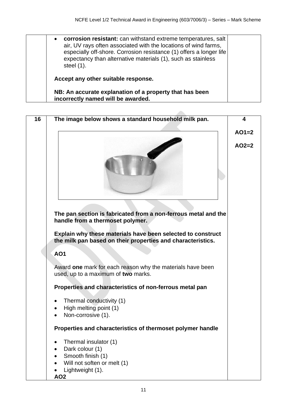• **corrosion resistant:** can withstand extreme temperatures, salt air, UV rays often associated with the locations of wind farms, especially off-shore. Corrosion resistance (1) offers a longer life expectancy than alternative materials (1), such as stainless steel (1). **Accept any other suitable response. NB: An accurate explanation of a property that has been incorrectly named will be awarded.** 

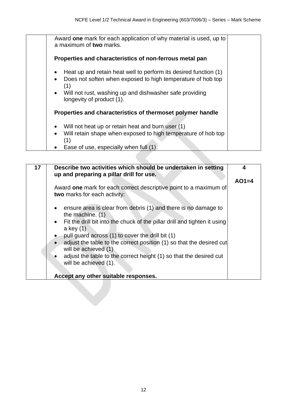| Award one mark for each application of why material is used, up to<br>a maximum of two marks.                                                                                                                                               |
|---------------------------------------------------------------------------------------------------------------------------------------------------------------------------------------------------------------------------------------------|
| Properties and characteristics of non-ferrous metal pan                                                                                                                                                                                     |
| Heat up and retain heat well to perform its desired function (1)<br>Does not soften when exposed to high temperature of hob top<br>(1)<br>Will not rust, washing up and dishwasher safe providing<br>$\bullet$<br>longevity of product (1). |
| Properties and characteristics of thermoset polymer handle                                                                                                                                                                                  |
| Will not heat up or retain heat and burn user (1)<br>Will retain shape when exposed to high temperature of hob top<br>(1)                                                                                                                   |
| Ease of use, especially when full (1).                                                                                                                                                                                                      |

| Describe two activities which should be undertaken in setting                                         | 4                                                                                                              |
|-------------------------------------------------------------------------------------------------------|----------------------------------------------------------------------------------------------------------------|
|                                                                                                       | $AO1=4$                                                                                                        |
| Award one mark for each correct descriptive point to a maximum of<br>two marks for each activity:     |                                                                                                                |
| ensure area is clear from debris (1) and there is no damage to<br>the machine. $(1)$                  |                                                                                                                |
| Fit the drill bit into the chuck of the pillar drill and tighten it using<br>$\bullet$<br>a key $(1)$ |                                                                                                                |
| pull guard across (1) to cover the drill bit (1)                                                      |                                                                                                                |
| adjust the table to the correct position (1) so that the desired cut<br>will be achieved (1)          |                                                                                                                |
|                                                                                                       |                                                                                                                |
| will be achieved (1).                                                                                 |                                                                                                                |
| Accept any other suitable responses.                                                                  |                                                                                                                |
|                                                                                                       |                                                                                                                |
|                                                                                                       | up and preparing a pillar drill for use.<br>adjust the table to the correct height (1) so that the desired cut |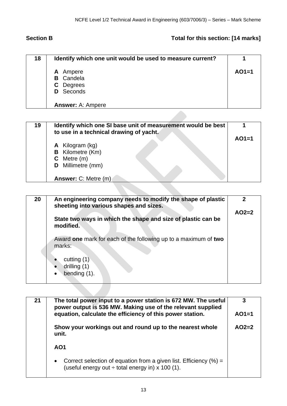## **Section B** Total for this section: [14 marks]

| 18 | Identify which one unit would be used to measure current? |         |
|----|-----------------------------------------------------------|---------|
|    | <b>A</b> Ampere                                           | $AO1=1$ |
|    | <b>B</b> Candela                                          |         |
|    | C Degrees                                                 |         |
|    | <b>D</b> Seconds                                          |         |
|    |                                                           |         |
|    | <b>Answer: A: Ampere</b>                                  |         |

| $AO1=1$<br><b>A</b> Kilogram (kg)<br><b>B</b> Kilometre (Km)<br>$C$ Metre $(m)$<br><b>D</b> Millimetre (mm) | 19 | Identify which one SI base unit of measurement would be best<br>to use in a technical drawing of yacht. |  |
|-------------------------------------------------------------------------------------------------------------|----|---------------------------------------------------------------------------------------------------------|--|
| Answer: C: Metre (m)                                                                                        |    |                                                                                                         |  |

| 20 | An engineering company needs to modify the shape of plastic<br>sheeting into various shapes and sizes. |         |
|----|--------------------------------------------------------------------------------------------------------|---------|
|    | State two ways in which the shape and size of plastic can be<br>modified.                              | $AO2=2$ |
|    | Award one mark for each of the following up to a maximum of two<br>marks:                              |         |
|    | cutting $(1)$<br>drilling (1)<br>bending (1).                                                          |         |

| 21                                                                | The total power input to a power station is 672 MW. The useful<br>power output is 536 MW. Making use of the relevant supplied<br>equation, calculate the efficiency of this power station. |         |
|-------------------------------------------------------------------|--------------------------------------------------------------------------------------------------------------------------------------------------------------------------------------------|---------|
| Show your workings out and round up to the nearest whole<br>unit. |                                                                                                                                                                                            | $AO2=2$ |
|                                                                   | AO <sub>1</sub>                                                                                                                                                                            |         |
|                                                                   | Correct selection of equation from a given list. Efficiency $(\%) =$<br>$\bullet$<br>(useful energy out $\div$ total energy in) x 100 (1).                                                 |         |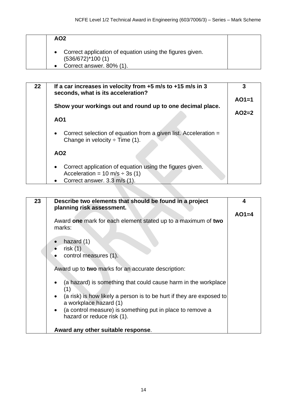|  | AO <sub>2</sub>                                                                  |  |
|--|----------------------------------------------------------------------------------|--|
|  | Correct application of equation using the figures given.<br>$(536/672)$ *100 (1) |  |
|  | Correct answer. 80% (1).                                                         |  |

| $22 \,$ | If a car increases in velocity from $+5$ m/s to $+15$ m/s in 3<br>seconds, what is its acceleration?                                                 | 3       |
|---------|------------------------------------------------------------------------------------------------------------------------------------------------------|---------|
|         |                                                                                                                                                      | $AO1=1$ |
|         | Show your workings out and round up to one decimal place.                                                                                            | $AO2=2$ |
|         | AO <sub>1</sub>                                                                                                                                      |         |
|         | Correct selection of equation from a given list. Acceleration =<br>$\bullet$<br>Change in velocity $\div$ Time (1).                                  |         |
|         | AO <sub>2</sub>                                                                                                                                      |         |
|         | Correct application of equation using the figures given.<br>$\bullet$<br>Acceleration = $10 \text{ m/s} \div 3s$ (1)<br>Correct answer. 3.3 m/s (1). |         |

| 23 | Describe two elements that should be found in a project                           | 4       |
|----|-----------------------------------------------------------------------------------|---------|
|    | planning risk assessment.                                                         |         |
|    |                                                                                   | $AO1=4$ |
|    | Award one mark for each element stated up to a maximum of two                     |         |
|    | marks:                                                                            |         |
|    |                                                                                   |         |
|    |                                                                                   |         |
|    | hazard $(1)$                                                                      |         |
|    | risk $(1)$                                                                        |         |
|    | control measures (1).                                                             |         |
|    |                                                                                   |         |
|    |                                                                                   |         |
|    | Award up to two marks for an accurate description:                                |         |
|    |                                                                                   |         |
|    | (a hazard) is something that could cause harm in the workplace                    |         |
|    | (1)                                                                               |         |
|    |                                                                                   |         |
|    | (a risk) is how likely a person is to be hurt if they are exposed to<br>$\bullet$ |         |
|    | a workplace hazard (1)                                                            |         |
|    | (a control measure) is something put in place to remove a<br>$\bullet$            |         |
|    | hazard or reduce risk (1).                                                        |         |
|    |                                                                                   |         |
|    |                                                                                   |         |
|    | Award any other suitable response.                                                |         |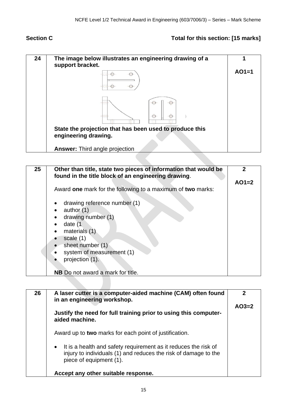# Section C **Total for this section: [15** marks]

| 24 | The image below illustrates an engineering drawing of a<br>support bracket.     |         |
|----|---------------------------------------------------------------------------------|---------|
|    |                                                                                 | $AO1=1$ |
|    | ⊂                                                                               |         |
|    | State the projection that has been used to produce this<br>engineering drawing. |         |
|    | <b>Answer: Third angle projection</b>                                           |         |

| 25 | Other than title, state two pieces of information that would be<br>found in the title block of an engineering drawing. | 2       |
|----|------------------------------------------------------------------------------------------------------------------------|---------|
|    |                                                                                                                        | $AO1=2$ |
|    | Award one mark for the following to a maximum of two marks:                                                            |         |
|    | drawing reference number (1)                                                                                           |         |
|    | author $(1)$                                                                                                           |         |
|    | drawing number (1)                                                                                                     |         |
|    | date (1                                                                                                                |         |
|    | materials (1)<br>$\bullet$                                                                                             |         |
|    | scale $(1)$                                                                                                            |         |
|    | sheet number (1)                                                                                                       |         |
|    | system of measurement (1)                                                                                              |         |
|    | projection (1).                                                                                                        |         |
|    |                                                                                                                        |         |
|    | <b>NB</b> Do not award a mark for title.                                                                               |         |

| 26 | A laser cutter is a computer-aided machine (CAM) often found<br>in an engineering workshop.                                                                     | 2       |
|----|-----------------------------------------------------------------------------------------------------------------------------------------------------------------|---------|
|    |                                                                                                                                                                 | $AO3=2$ |
|    | Justify the need for full training prior to using this computer-<br>aided machine.                                                                              |         |
|    | Award up to two marks for each point of justification.                                                                                                          |         |
|    | • It is a health and safety requirement as it reduces the risk of<br>injury to individuals (1) and reduces the risk of damage to the<br>piece of equipment (1). |         |
|    | Accept any other suitable response.                                                                                                                             |         |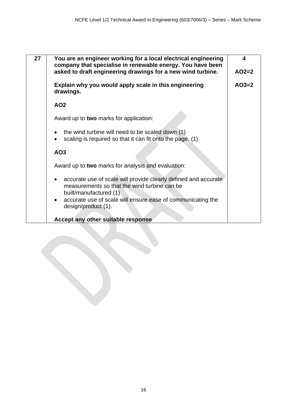| 27 | You are an engineer working for a local electrical engineering<br>company that specialise in renewable energy. You have been                           | 4       |
|----|--------------------------------------------------------------------------------------------------------------------------------------------------------|---------|
|    | asked to draft engineering drawings for a new wind turbine.                                                                                            | $AO2=2$ |
|    | Explain why you would apply scale in this engineering<br>drawings.                                                                                     | $AO3=2$ |
|    | AO <sub>2</sub>                                                                                                                                        |         |
|    | Award up to two marks for application:                                                                                                                 |         |
|    | the wind turbine will need to be scaled down (1)<br>scaling is required so that it can fit onto the page. (1)                                          |         |
|    | AO <sub>3</sub>                                                                                                                                        |         |
|    | Award up to two marks for analysis and evaluation:                                                                                                     |         |
|    | accurate use of scale will provide clearly defined and accurate<br>$\bullet$<br>measurements so that the wind turbine can be<br>built/manufactured (1) |         |
|    | accurate use of scale will ensure ease of communicating the<br>design/product (1).                                                                     |         |
|    | Accept any other suitable response                                                                                                                     |         |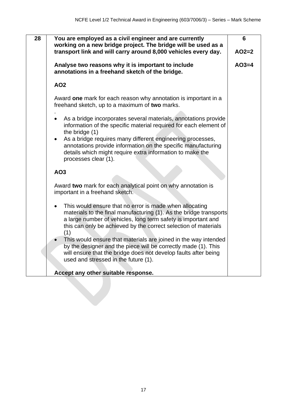| 28 | You are employed as a civil engineer and are currently<br>working on a new bridge project. The bridge will be used as a                                                                                                                                                  | 6       |
|----|--------------------------------------------------------------------------------------------------------------------------------------------------------------------------------------------------------------------------------------------------------------------------|---------|
|    | transport link and will carry around 8,000 vehicles every day.                                                                                                                                                                                                           | $AO2=2$ |
|    | Analyse two reasons why it is important to include<br>annotations in a freehand sketch of the bridge.                                                                                                                                                                    | $AO3=4$ |
|    | <b>AO2</b>                                                                                                                                                                                                                                                               |         |
|    | Award one mark for each reason why annotation is important in a<br>freehand sketch, up to a maximum of two marks.                                                                                                                                                        |         |
|    | As a bridge incorporates several materials, annotations provide<br>information of the specific material required for each element of<br>the bridge (1)                                                                                                                   |         |
|    | As a bridge requires many different engineering processes,<br>$\bullet$<br>annotations provide information on the specific manufacturing<br>details which might require extra information to make the<br>processes clear (1).                                            |         |
|    | AO3                                                                                                                                                                                                                                                                      |         |
|    | Award two mark for each analytical point on why annotation is<br>important in a freehand sketch.                                                                                                                                                                         |         |
|    | This would ensure that no error is made when allocating<br>materials to the final manufacturing (1). As the bridge transports<br>a large number of vehicles, long term safety is important and<br>this can only be achieved by the correct selection of materials<br>(1) |         |
|    | This would ensure that materials are joined in the way intended<br>by the designer and the piece will be correctly made (1). This<br>will ensure that the bridge does not develop faults after being<br>used and stressed in the future (1).                             |         |
|    | Accept any other suitable response.                                                                                                                                                                                                                                      |         |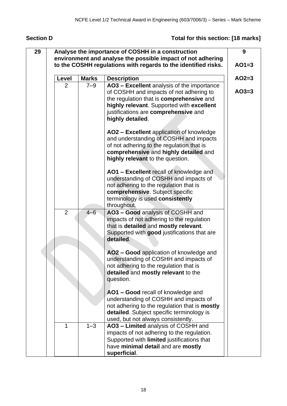# **Section D Total for this section: [18 marks]**

| 29 | Analyse the importance of COSHH in a construction              |              |                                                                                                                                                                                                                  |         |  |
|----|----------------------------------------------------------------|--------------|------------------------------------------------------------------------------------------------------------------------------------------------------------------------------------------------------------------|---------|--|
|    | environment and analyse the possible impact of not adhering    |              |                                                                                                                                                                                                                  |         |  |
|    | to the COSHH regulations with regards to the identified risks. |              |                                                                                                                                                                                                                  |         |  |
|    | Level                                                          | <b>Marks</b> | <b>Description</b>                                                                                                                                                                                               | $AO2=3$ |  |
|    | 2                                                              | $7 - 9$      | AO3 - Excellent analysis of the importance                                                                                                                                                                       |         |  |
|    |                                                                |              | of COSHH and impacts of not adhering to<br>the regulation that is comprehensive and<br>highly relevant. Supported with excellent<br>justifications are comprehensive and                                         | $AO3=3$ |  |
|    |                                                                |              | highly detailed.                                                                                                                                                                                                 |         |  |
|    |                                                                |              | AO2 - Excellent application of knowledge<br>and understanding of COSHH and impacts<br>of not adhering to the regulation that is<br>comprehensive and highly detailed and<br>highly relevant to the question.     |         |  |
|    |                                                                |              | AO1 - Excellent recall of knowledge and<br>understanding of COSHH and impacts of<br>not adhering to the regulation that is<br>comprehensive. Subject specific<br>terminology is used consistently<br>throughout. |         |  |
|    | $\overline{2}$                                                 | $4 - 6$      | AO3 - Good analysis of COSHH and<br>impacts of not adhering to the regulation<br>that is detailed and mostly relevant.<br>Supported with good justifications that are<br>detailed.                               |         |  |
|    |                                                                |              | AO2 - Good application of knowledge and<br>understanding of COSHH and impacts of<br>not adhering to the regulation that is<br>detailed and mostly relevant to the<br>question.                                   |         |  |
|    |                                                                |              | AO1 - Good recall of knowledge and<br>understanding of COSHH and impacts of<br>not adhering to the regulation that is mostly<br>detailed. Subject specific terminology is<br>used, but not always consistently.  |         |  |
|    | 1                                                              | $1 - 3$      | AO3 - Limited analysis of COSHH and<br>impacts of not adhering to the regulation.<br>Supported with limited justifications that<br>have minimal detail and are mostly<br>superficial.                            |         |  |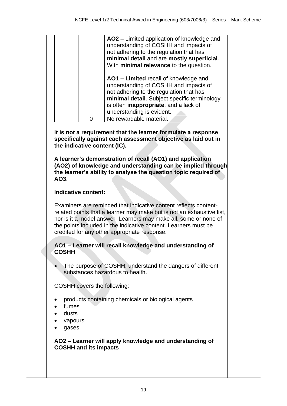|  | AO2 - Limited application of knowledge and<br>understanding of COSHH and impacts of<br>not adhering to the regulation that has<br>minimal detail and are mostly superficial.<br>With minimal relevance to the question.                         |                         |
|--|-------------------------------------------------------------------------------------------------------------------------------------------------------------------------------------------------------------------------------------------------|-------------------------|
|  | AO1 – Limited recall of knowledge and<br>understanding of COSHH and impacts of<br>not adhering to the regulation that has<br>minimal detail. Subject specific terminology<br>is often inappropriate, and a lack of<br>understanding is evident. |                         |
|  |                                                                                                                                                                                                                                                 |                         |
|  |                                                                                                                                                                                                                                                 | No rewardable material. |

**It is not a requirement that the learner formulate a response specifically against each assessment objective as laid out in the indicative content (IC).** 

**A learner's demonstration of recall (AO1) and application (AO2) of knowledge and understanding can be implied through the learner's ability to analyse the question topic required of AO3.** 

#### **Indicative content:**

Examiners are reminded that indicative content reflects contentrelated points that a learner may make but is not an exhaustive list, nor is it a model answer. Learners may make all, some or none of the points included in the indicative content. Learners must be credited for any other appropriate response.

#### **AO1 – Learner will recall knowledge and understanding of COSHH**

• The purpose of COSHH: understand the dangers of different substances hazardous to health.

COSHH covers the following:

- products containing chemicals or biological agents
- fume<sub>s</sub>
- dusts
- vapours
- gases.

#### **AO2 – Learner will apply knowledge and understanding of COSHH and its impacts**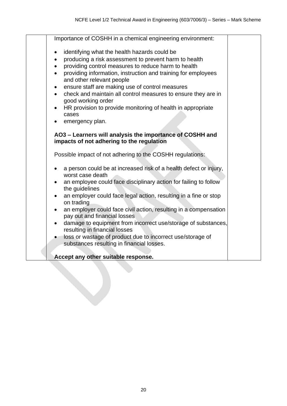| Importance of COSHH in a chemical engineering environment:                                                                                                                                                                                                                                                                                                                                                                                                                                                                                                                                 |  |
|--------------------------------------------------------------------------------------------------------------------------------------------------------------------------------------------------------------------------------------------------------------------------------------------------------------------------------------------------------------------------------------------------------------------------------------------------------------------------------------------------------------------------------------------------------------------------------------------|--|
| identifying what the health hazards could be<br>$\bullet$<br>producing a risk assessment to prevent harm to health<br>$\bullet$<br>providing control measures to reduce harm to health<br>$\bullet$<br>providing information, instruction and training for employees<br>$\bullet$<br>and other relevant people<br>ensure staff are making use of control measures<br>$\bullet$<br>check and maintain all control measures to ensure they are in<br>$\bullet$<br>good working order<br>HR provision to provide monitoring of health in appropriate<br>cases<br>emergency plan.<br>$\bullet$ |  |
| AO3 - Learners will analysis the importance of COSHH and                                                                                                                                                                                                                                                                                                                                                                                                                                                                                                                                   |  |
| impacts of not adhering to the regulation                                                                                                                                                                                                                                                                                                                                                                                                                                                                                                                                                  |  |
| Possible impact of not adhering to the COSHH regulations:                                                                                                                                                                                                                                                                                                                                                                                                                                                                                                                                  |  |
| a person could be at increased risk of a health defect or injury,<br>worst case death<br>an employee could face disciplinary action for failing to follow                                                                                                                                                                                                                                                                                                                                                                                                                                  |  |
| the guidelines                                                                                                                                                                                                                                                                                                                                                                                                                                                                                                                                                                             |  |
| an employer could face legal action, resulting in a fine or stop<br>$\bullet$<br>on trading                                                                                                                                                                                                                                                                                                                                                                                                                                                                                                |  |
| an employer could face civil action, resulting in a compensation<br>$\bullet$<br>pay out and financial losses                                                                                                                                                                                                                                                                                                                                                                                                                                                                              |  |
| damage to equipment from incorrect use/storage of substances,<br>$\bullet$<br>resulting in financial losses                                                                                                                                                                                                                                                                                                                                                                                                                                                                                |  |
| loss or wastage of product due to incorrect use/storage of<br>substances resulting in financial losses.                                                                                                                                                                                                                                                                                                                                                                                                                                                                                    |  |
| Accept any other suitable response.                                                                                                                                                                                                                                                                                                                                                                                                                                                                                                                                                        |  |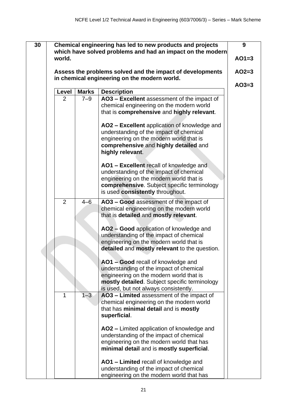| 30 |                     |                    | Chemical engineering has led to new products and projects                                                                                                                                                                                                                                                                                                                                                                                                                                                                                                                                                                                                                                                                                                                                                                                                               | 9       |
|----|---------------------|--------------------|-------------------------------------------------------------------------------------------------------------------------------------------------------------------------------------------------------------------------------------------------------------------------------------------------------------------------------------------------------------------------------------------------------------------------------------------------------------------------------------------------------------------------------------------------------------------------------------------------------------------------------------------------------------------------------------------------------------------------------------------------------------------------------------------------------------------------------------------------------------------------|---------|
|    | world.              |                    | which have solved problems and had an impact on the modern                                                                                                                                                                                                                                                                                                                                                                                                                                                                                                                                                                                                                                                                                                                                                                                                              | $AO1=3$ |
|    |                     |                    |                                                                                                                                                                                                                                                                                                                                                                                                                                                                                                                                                                                                                                                                                                                                                                                                                                                                         |         |
|    |                     |                    | Assess the problems solved and the impact of developments<br>in chemical engineering on the modern world.                                                                                                                                                                                                                                                                                                                                                                                                                                                                                                                                                                                                                                                                                                                                                               | $AO2=3$ |
|    | Level               | <b>Marks</b>       | <b>Description</b>                                                                                                                                                                                                                                                                                                                                                                                                                                                                                                                                                                                                                                                                                                                                                                                                                                                      | $AO3=3$ |
|    | $\overline{2}$      | $7 - 9$            | AO3 - Excellent assessment of the impact of<br>chemical engineering on the modern world<br>that is comprehensive and highly relevant.<br>AO2 - Excellent application of knowledge and<br>understanding of the impact of chemical<br>engineering on the modern world that is                                                                                                                                                                                                                                                                                                                                                                                                                                                                                                                                                                                             |         |
|    |                     |                    | comprehensive and highly detailed and<br>highly relevant.<br>AO1 - Excellent recall of knowledge and<br>understanding of the impact of chemical<br>engineering on the modern world that is<br>comprehensive. Subject specific terminology<br>is used consistently throughout.                                                                                                                                                                                                                                                                                                                                                                                                                                                                                                                                                                                           |         |
|    | $\overline{2}$<br>1 | $4 - 6$<br>$1 - 3$ | AO3 - Good assessment of the impact of<br>chemical engineering on the modern world<br>that is detailed and mostly relevant.<br>AO2 - Good application of knowledge and<br>understanding of the impact of chemical<br>engineering on the modern world that is<br>detailed and mostly relevant to the question.<br>AO1 - Good recall of knowledge and<br>understanding of the impact of chemical<br>engineering on the modern world that is<br>mostly detailed. Subject specific terminology<br>is used, but not always consistently.<br>AO3 - Limited assessment of the impact of<br>chemical engineering on the modern world<br>that has minimal detail and is mostly<br>superficial.<br>AO2 – Limited application of knowledge and<br>understanding of the impact of chemical<br>engineering on the modern world that has<br>minimal detail and is mostly superficial. |         |
|    |                     |                    | AO1 - Limited recall of knowledge and<br>understanding of the impact of chemical<br>engineering on the modern world that has                                                                                                                                                                                                                                                                                                                                                                                                                                                                                                                                                                                                                                                                                                                                            |         |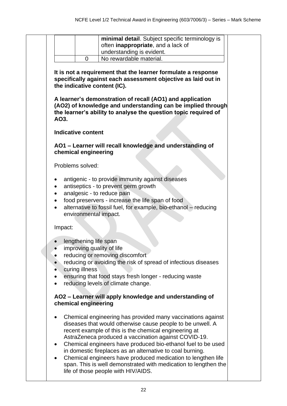|                        |                                         | minimal detail. Subject specific terminology is                                                                                                                                                                                                                                                                                                                                                                                                                                                                                                   |
|------------------------|-----------------------------------------|---------------------------------------------------------------------------------------------------------------------------------------------------------------------------------------------------------------------------------------------------------------------------------------------------------------------------------------------------------------------------------------------------------------------------------------------------------------------------------------------------------------------------------------------------|
|                        |                                         | often inappropriate, and a lack of                                                                                                                                                                                                                                                                                                                                                                                                                                                                                                                |
|                        | $\Omega$                                | understanding is evident.<br>No rewardable material.                                                                                                                                                                                                                                                                                                                                                                                                                                                                                              |
|                        |                                         |                                                                                                                                                                                                                                                                                                                                                                                                                                                                                                                                                   |
|                        |                                         | It is not a requirement that the learner formulate a response<br>specifically against each assessment objective as laid out in<br>the indicative content (IC).                                                                                                                                                                                                                                                                                                                                                                                    |
| AO3.                   |                                         | A learner's demonstration of recall (AO1) and application<br>(AO2) of knowledge and understanding can be implied through<br>the learner's ability to analyse the question topic required of                                                                                                                                                                                                                                                                                                                                                       |
|                        | <b>Indicative content</b>               |                                                                                                                                                                                                                                                                                                                                                                                                                                                                                                                                                   |
|                        | chemical engineering                    | AO1 - Learner will recall knowledge and understanding of                                                                                                                                                                                                                                                                                                                                                                                                                                                                                          |
|                        | Problems solved:                        |                                                                                                                                                                                                                                                                                                                                                                                                                                                                                                                                                   |
|                        |                                         | antigenic - to provide immunity against diseases<br>antiseptics - to prevent germ growth<br>analgesic - to reduce pain<br>food preservers - increase the life span of food<br>alternative to fossil fuel, for example, bio-ethanol - reducing<br>environmental impact.                                                                                                                                                                                                                                                                            |
| Impact:                |                                         |                                                                                                                                                                                                                                                                                                                                                                                                                                                                                                                                                   |
|                        | lengthening life span<br>curing illness | improving quality of life<br>reducing or removing discomfort<br>reducing or avoiding the risk of spread of infectious diseases<br>ensuring that food stays fresh longer - reducing waste<br>reducing levels of climate change.                                                                                                                                                                                                                                                                                                                    |
| chemical engineering   |                                         | AO2 - Learner will apply knowledge and understanding of                                                                                                                                                                                                                                                                                                                                                                                                                                                                                           |
| $\bullet$<br>$\bullet$ |                                         | Chemical engineering has provided many vaccinations against<br>diseases that would otherwise cause people to be unwell. A<br>recent example of this is the chemical engineering at<br>AstraZeneca produced a vaccination against COVID-19.<br>Chemical engineers have produced bio-ethanol fuel to be used<br>in domestic fireplaces as an alternative to coal burning.<br>Chemical engineers have produced medication to lengthen life<br>span. This is well demonstrated with medication to lengthen the<br>life of those people with HIV/AIDS. |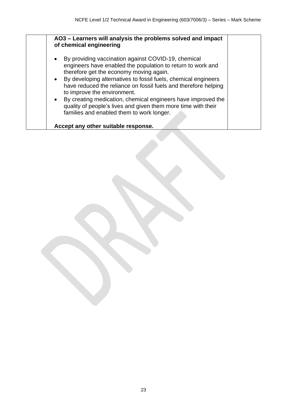| By providing vaccination against COVID-19, chemical<br>$\bullet$<br>engineers have enabled the population to return to work and<br>therefore get the economy moving again.<br>• By developing alternatives to fossil fuels, chemical engineers<br>have reduced the reliance on fossil fuels and therefore helping<br>to improve the environment.<br>• By creating medication, chemical engineers have improved the<br>quality of people's lives and given them more time with their<br>families and enabled them to work longer. |
|----------------------------------------------------------------------------------------------------------------------------------------------------------------------------------------------------------------------------------------------------------------------------------------------------------------------------------------------------------------------------------------------------------------------------------------------------------------------------------------------------------------------------------|